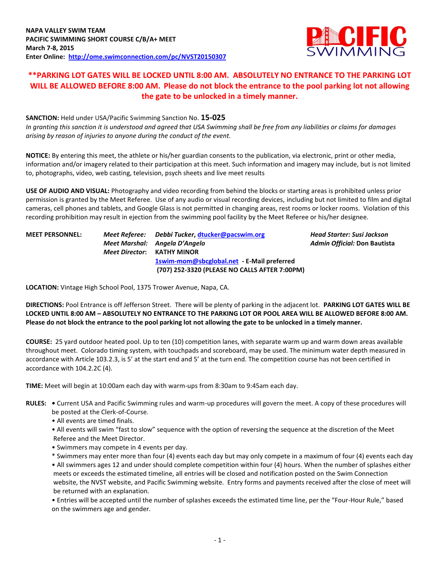

# **\*\*PARKING LOT GATES WILL BE LOCKED UNTIL 8:00 AM. ABSOLUTELY NO ENTRANCE TO THE PARKING LOT WILL BE ALLOWED BEFORE 8:00 AM. Please do not block the entrance to the pool parking lot not allowing the gate to be unlocked in a timely manner.**

## **SANCTION:** Held under USA/Pacific Swimming Sanction No. **15-025**

*In granting this sanction it is understood and agreed that USA Swimming shall be free from any liabilities or claims for damages arising by reason of injuries to anyone during the conduct of the event.*

**NOTICE:** By entering this meet, the athlete or his/her guardian consents to the publication, via electronic, print or other media, information and/or imagery related to their participation at this meet. Such information and imagery may include, but is not limited to, photographs, video, web casting, television, psych sheets and live meet results

**USE OF AUDIO AND VISUAL:** Photography and video recording from behind the blocks or starting areas is prohibited unless prior permission is granted by the Meet Referee. Use of any audio or visual recording devices, including but not limited to film and digital cameras, cell phones and tablets, and Google Glass is not permitted in changing areas, rest rooms or locker rooms. Violation of this recording prohibition may result in ejection from the swimming pool facility by the Meet Referee or his/her designee.

| <b>MEET PERSONNEL:</b> | Meet Referee: Debbi Tucker, dtucker@pacswim.org |
|------------------------|-------------------------------------------------|
|                        | Meet Marshal: Angela D'Angelo                   |
|                        | <b>Meet Director: KATHY MINOR</b>               |
|                        | 1swim-mom@sbcglobal.net - E-Mail preferred      |
|                        | (707) 252-3320 (PLEASE NO CALLS AFTER 7:00PM)   |

**MEET PERSONNEL:** *Meet Referee: Debbi Tucker***, [dtucker@pacswim.org](mailto:dtucker@pacswim.org)** *Head Starter: Susi Jackson Meet Marshal: Angela D'Angelo Admin Official:* **Don Bautista** 

**LOCATION:** Vintage High School Pool, 1375 Trower Avenue, Napa, CA.

**DIRECTIONS:** Pool Entrance is off Jefferson Street. There will be plenty of parking in the adjacent lot. **PARKING LOT GATES WILL BE LOCKED UNTIL 8:00 AM – ABSOLUTELY NO ENTRANCE TO THE PARKING LOT OR POOL AREA WILL BE ALLOWED BEFORE 8:00 AM. Please do not block the entrance to the pool parking lot not allowing the gate to be unlocked in a timely manner.**

**COURSE:** 25 yard outdoor heated pool. Up to ten (10) competition lanes, with separate warm up and warm down areas available throughout meet. Colorado timing system, with touchpads and scoreboard, may be used. The minimum water depth measured in accordance with Article 103.2.3, is 5' at the start end and 5' at the turn end. The competition course has not been certified in accordance with 104.2.2C (4).

**TIME:** Meet will begin at 10:00am each day with warm-ups from 8:30am to 9:45am each day.

- **RULES:** Current USA and Pacific Swimming rules and warm-up procedures will govern the meet. A copy of these procedures will be posted at the Clerk-of-Course.
	- All events are timed finals.
	- All events will swim "fast to slow" sequence with the option of reversing the sequence at the discretion of the Meet Referee and the Meet Director.
	- Swimmers may compete in 4 events per day.
	- \* Swimmers may enter more than four (4) events each day but may only compete in a maximum of four (4) events each day
	- All swimmers ages 12 and under should complete competition within four (4) hours. When the number of splashes either meets or exceeds the estimated timeline, all entries will be closed and notification posted on the Swim Connection website, the NVST website, and Pacific Swimming website. Entry forms and payments received after the close of meet will be returned with an explanation.

• Entries will be accepted until the number of splashes exceeds the estimated time line, per the "Four-Hour Rule," based on the swimmers age and gender.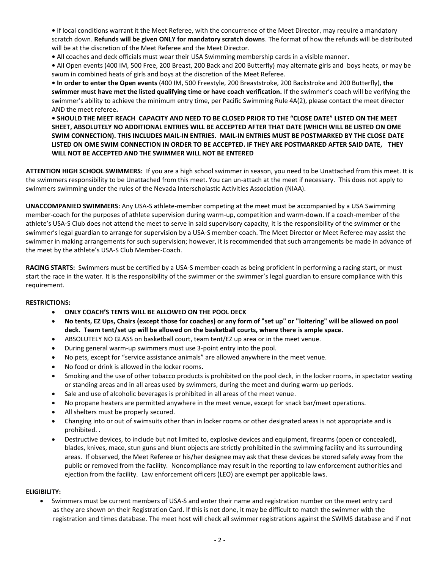**•** If local conditions warrant it the Meet Referee, with the concurrence of the Meet Director, may require a mandatory scratch down. **Refunds will be given ONLY for mandatory scratch downs**. The format of how the refunds will be distributed will be at the discretion of the Meet Referee and the Meet Director.

**•** All coaches and deck officials must wear their USA Swimming membership cards in a visible manner.

**•** All Open events (400 IM, 500 Free, 200 Breast, 200 Back and 200 Butterfly) may alternate girls and boys heats, or may be swum in combined heats of girls and boys at the discretion of the Meet Referee.

**• In order to enter the Open events** (400 IM, 500 Freestyle, 200 Breaststroke, 200 Backstroke and 200 Butterfly), **the swimmer must have met the listed qualifying time or have coach verification.** If the swimmer's coach will be verifying the swimmer's ability to achieve the minimum entry time, per Pacific Swimming Rule 4A(2), please contact the meet director AND the meet referee**.**

# **• SHOULD THE MEET REACH CAPACITY AND NEED TO BE CLOSED PRIOR TO THE "CLOSE DATE" LISTED ON THE MEET SHEET, ABSOLUTELY NO ADDITIONAL ENTRIES WILL BE ACCEPTED AFTER THAT DATE (WHICH WILL BE LISTED ON OME SWIM CONNECTION). THIS INCLUDES MAIL-IN ENTRIES. MAIL-IN ENTRIES MUST BE POSTMARKED BY THE CLOSE DATE LISTED ON OME SWIM CONNECTION IN ORDER TO BE ACCEPTED. IF THEY ARE POSTMARKED AFTER SAID DATE, THEY WILL NOT BE ACCEPTED AND THE SWIMMER WILL NOT BE ENTERED**

**ATTENTION HIGH SCHOOL SWIMMERS:** If you are a high school swimmer in season, you need to be Unattached from this meet. It is the swimmers responsibility to be Unattached from this meet. You can un-attach at the meet if necessary. This does not apply to swimmers swimming under the rules of the Nevada Interscholastic Activities Association (NIAA).

**UNACCOMPANIED SWIMMERS:** Any USA-S athlete-member competing at the meet must be accompanied by a USA Swimming member-coach for the purposes of athlete supervision during warm-up, competition and warm-down. If a coach-member of the athlete's USA-S Club does not attend the meet to serve in said supervisory capacity, it is the responsibility of the swimmer or the swimmer's legal guardian to arrange for supervision by a USA-S member-coach. The Meet Director or Meet Referee may assist the swimmer in making arrangements for such supervision; however, it is recommended that such arrangements be made in advance of the meet by the athlete's USA-S Club Member-Coach.

**RACING STARTS:** Swimmers must be certified by a USA-S member-coach as being proficient in performing a racing start, or must start the race in the water. It is the responsibility of the swimmer or the swimmer's legal guardian to ensure compliance with this requirement.

### **RESTRICTIONS:**

- **ONLY COACH'S TENTS WILL BE ALLOWED ON THE POOL DECK**
- **No tents, EZ Ups, Chairs (except those for coaches) or any form of "set up" or "loitering" will be allowed on pool deck. Team tent/set up will be allowed on the basketball courts, where there is ample space.**
- ABSOLUTELY NO GLASS on basketball court, team tent/EZ up area or in the meet venue.
- During general warm-up swimmers must use 3-point entry into the pool.
- No pets, except for "service assistance animals" are allowed anywhere in the meet venue.
- No food or drink is allowed in the locker rooms**.**
- Smoking and the use of other tobacco products is prohibited on the pool deck, in the locker rooms, in spectator seating or standing areas and in all areas used by swimmers, during the meet and during warm-up periods.
- Sale and use of alcoholic beverages is prohibited in all areas of the meet venue.
- No propane heaters are permitted anywhere in the meet venue, except for snack bar/meet operations.
- All shelters must be properly secured.
- Changing into or out of swimsuits other than in locker rooms or other designated areas is not appropriate and is prohibited. .
- Destructive devices, to include but not limited to, explosive devices and equipment, firearms (open or concealed), blades, knives, mace, stun guns and blunt objects are strictly prohibited in the swimming facility and its surrounding areas. If observed, the Meet Referee or his/her designee may ask that these devices be stored safely away from the public or removed from the facility. Noncompliance may result in the reporting to law enforcement authorities and ejection from the facility. Law enforcement officers (LEO) are exempt per applicable laws.

#### **ELIGIBILITY:**

 Swimmers must be current members of USA-S and enter their name and registration number on the meet entry card as they are shown on their Registration Card. If this is not done, it may be difficult to match the swimmer with the registration and times database. The meet host will check all swimmer registrations against the SWIMS database and if not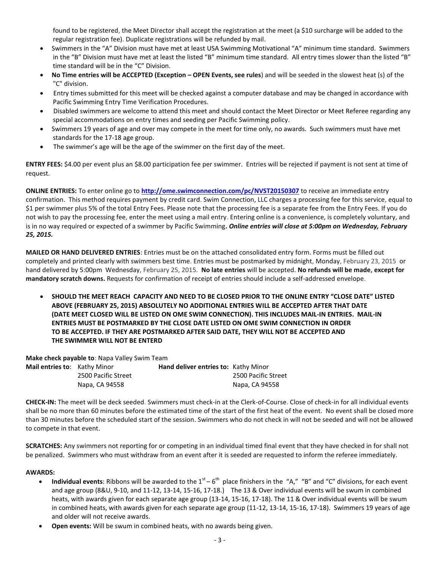found to be registered, the Meet Director shall accept the registration at the meet (a \$10 surcharge will be added to the regular registration fee). Duplicate registrations will be refunded by mail.

- Swimmers in the "A" Division must have met at least USA Swimming Motivational "A" minimum time standard. Swimmers in the "B" Division must have met at least the listed "B" minimum time standard. All entry times slower than the listed "B" time standard will be in the "C" Division.
- **No Time entries will be ACCEPTED (Exception – OPEN Events, see rules**) and will be seeded in the slowest heat (s) of the "C" division.
- Entry times submitted for this meet will be checked against a computer database and may be changed in accordance with Pacific Swimming Entry Time Verification Procedures.
- Disabled swimmers are welcome to attend this meet and should contact the Meet Director or Meet Referee regarding any special accommodations on entry times and seeding per Pacific Swimming policy.
- Swimmers 19 years of age and over may compete in the meet for time only, no awards. Such swimmers must have met standards for the 17-18 age group.
- The swimmer's age will be the age of the swimmer on the first day of the meet.

**ENTRY FEES:** \$4.00 per event plus an \$8.00 participation fee per swimmer. Entries will be rejected if payment is not sent at time of request.

**ONLINE ENTRIES:** To enter online go to **<http://ome.swimconnection.com/pc/NVST20150307>** to receive an immediate entry confirmation. This method requires payment by credit card. Swim Connection, LLC charges a processing fee for this service, equal to \$1 per swimmer plus 5% of the total Entry Fees. Please note that the processing fee is a separate fee from the Entry Fees. If you do not wish to pay the processing fee, enter the meet using a mail entry. Entering online is a convenience, is completely voluntary, and is in no way required or expected of a swimmer by Pacific Swimming**.** *Online entries will close at 5:00pm on Wednesday, February 25, 2015.* 

**MAILED OR HAND DELIVERED ENTRIES**: Entries must be on the attached consolidated entry form. Forms must be filled out completely and printed clearly with swimmers best time. Entries must be postmarked by midnight, Monday, February 23, 2015 or hand delivered by 5:00pm Wednesday, February 25, 2015. **No late entries** will be accepted. **No refunds will be made, except for mandatory scratch downs.** Requests for confirmation of receipt of entries should include a self-addressed envelope.

 **SHOULD THE MEET REACH CAPACITY AND NEED TO BE CLOSED PRIOR TO THE ONLINE ENTRY "CLOSE DATE" LISTED ABOVE (FEBRUARY 25, 2015) ABSOLUTELY NO ADDITIONAL ENTRIES WILL BE ACCEPTED AFTER THAT DATE (DATE MEET CLOSED WILL BE LISTED ON OME SWIM CONNECTION). THIS INCLUDES MAIL-IN ENTRIES. MAIL-IN ENTRIES MUST BE POSTMARKED BY THE CLOSE DATE LISTED ON OME SWIM CONNECTION IN ORDER TO BE ACCEPTED. IF THEY ARE POSTMARKED AFTER SAID DATE, THEY WILL NOT BE ACCEPTED AND THE SWIMMER WILL NOT BE ENTERD**

**Make check payable to**: Napa Valley Swim Team

| Mail entries to: Kathy Minor |                     | Hand deliver entries to: Kathy Minor |                     |
|------------------------------|---------------------|--------------------------------------|---------------------|
|                              | 2500 Pacific Street |                                      | 2500 Pacific Street |
|                              | Napa, CA 94558      |                                      | Napa, CA 94558      |

**CHECK-IN:** The meet will be deck seeded. Swimmers must check-in at the Clerk-of-Course. Close of check-in for all individual events shall be no more than 60 minutes before the estimated time of the start of the first heat of the event. No event shall be closed more than 30 minutes before the scheduled start of the session. Swimmers who do not check in will not be seeded and will not be allowed to compete in that event.

**SCRATCHES:** Any swimmers not reporting for or competing in an individual timed final event that they have checked in for shall not be penalized. Swimmers who must withdraw from an event after it is seeded are requested to inform the referee immediately.

### **AWARDS:**

- Individual events: Ribbons will be awarded to the  $1^{st} 6^{th}$  place finishers in the "A," "B" and "C" divisions, for each event and age group (8&U, 9-10, and 11-12, 13-14, 15-16, 17-18.) The 13 & Over individual events will be swum in combined heats, with awards given for each separate age group (13-14, 15-16, 17-18). The 11 & Over individual events will be swum in combined heats, with awards given for each separate age group (11-12, 13-14, 15-16, 17-18). Swimmers 19 years of age and older will not receive awards.
- **Open events:** Will be swum in combined heats, with no awards being given.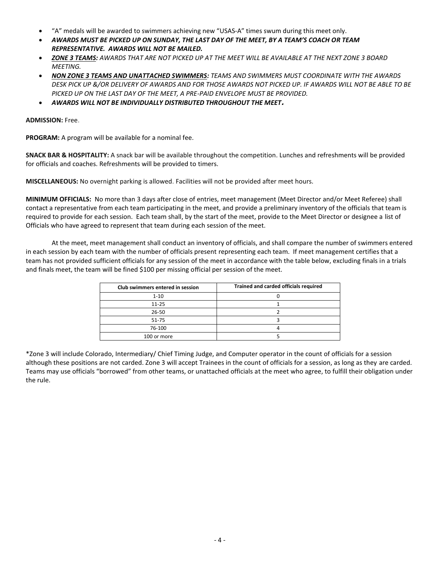- "A" medals will be awarded to swimmers achieving new "USAS-A" times swum during this meet only.
- *AWARDS MUST BE PICKED UP ON SUNDAY, THE LAST DAY OF THE MEET, BY A TEAM'S COACH OR TEAM REPRESENTATIVE. AWARDS WILL NOT BE MAILED.*
- *ZONE 3 TEAMS: AWARDS THAT ARE NOT PICKED UP AT THE MEET WILL BE AVAILABLE AT THE NEXT ZONE 3 BOARD MEETING.*
- *NON ZONE 3 TEAMS AND UNATTACHED SWIMMERS: TEAMS AND SWIMMERS MUST COORDINATE WITH THE AWARDS DESK PICK UP &/OR DELIVERY OF AWARDS AND FOR THOSE AWARDS NOT PICKED UP. IF AWARDS WILL NOT BE ABLE TO BE PICKED UP ON THE LAST DAY OF THE MEET, A PRE-PAID ENVELOPE MUST BE PROVIDED.*
- *AWARDS WILL NOT BE INDIVIDUALLY DISTRIBUTED THROUGHOUT THE MEET***.**

#### **ADMISSION:** Free.

**PROGRAM:** A program will be available for a nominal fee.

**SNACK BAR & HOSPITALITY:** A snack bar will be available throughout the competition. Lunches and refreshments will be provided for officials and coaches. Refreshments will be provided to timers.

**MISCELLANEOUS:** No overnight parking is allowed. Facilities will not be provided after meet hours.

**MINIMUM OFFICIALS:** No more than 3 days after close of entries, meet management (Meet Director and/or Meet Referee) shall contact a representative from each team participating in the meet, and provide a preliminary inventory of the officials that team is required to provide for each session. Each team shall, by the start of the meet, provide to the Meet Director or designee a list of Officials who have agreed to represent that team during each session of the meet.

At the meet, meet management shall conduct an inventory of officials, and shall compare the number of swimmers entered in each session by each team with the number of officials present representing each team. If meet management certifies that a team has not provided sufficient officials for any session of the meet in accordance with the table below, excluding finals in a trials and finals meet, the team will be fined \$100 per missing official per session of the meet.

| Club swimmers entered in session | Trained and carded officials required |  |  |  |  |  |
|----------------------------------|---------------------------------------|--|--|--|--|--|
| $1 - 10$                         |                                       |  |  |  |  |  |
| $11 - 25$                        |                                       |  |  |  |  |  |
| 26-50                            |                                       |  |  |  |  |  |
| $51 - 75$                        |                                       |  |  |  |  |  |
| 76-100                           |                                       |  |  |  |  |  |
| 100 or more                      |                                       |  |  |  |  |  |

\*Zone 3 will include Colorado, Intermediary/ Chief Timing Judge, and Computer operator in the count of officials for a session although these positions are not carded. Zone 3 will accept Trainees in the count of officials for a session, as long as they are carded. Teams may use officials "borrowed" from other teams, or unattached officials at the meet who agree, to fulfill their obligation under the rule.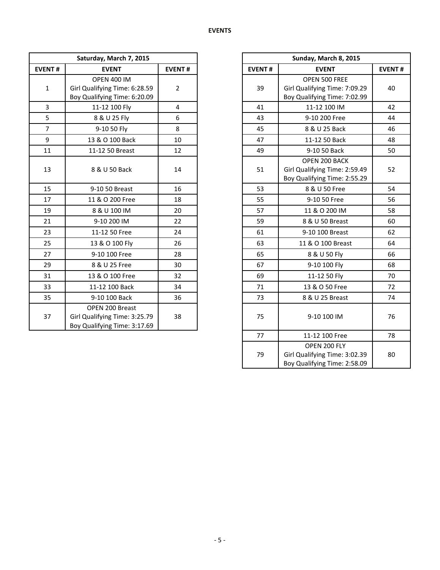|                         | Saturday, March 7, 2015                                                             |                |               | Sunday, March 8, 2015                                                          |               |
|-------------------------|-------------------------------------------------------------------------------------|----------------|---------------|--------------------------------------------------------------------------------|---------------|
| <b>EVENT#</b>           | <b>EVENT</b>                                                                        | <b>EVENT#</b>  | <b>EVENT#</b> | <b>EVENT</b>                                                                   | <b>EVENT#</b> |
| $\mathbf{1}$            | <b>OPEN 400 IM</b><br>Girl Qualifying Time: 6:28.59<br>Boy Qualifying Time: 6:20.09 | $\overline{2}$ | 39            | OPEN 500 FREE<br>Girl Qualifying Time: 7:09.29<br>Boy Qualifying Time: 7:02.99 | 40            |
| $\overline{\mathbf{3}}$ | 11-12 100 Fly                                                                       | $\overline{4}$ | 41            | 11-12 100 IM                                                                   | 42            |
| 5                       | 8 & U 25 Fly                                                                        | 6              | 43            | 9-10 200 Free                                                                  | 44            |
| $\overline{7}$          | 9-10 50 Fly                                                                         | 8              | 45            | 8 & U 25 Back                                                                  | 46            |
| 9                       | 13 & O 100 Back                                                                     | 10             | 47            | 11-12 50 Back                                                                  | 48            |
| 11                      | 11-12 50 Breast                                                                     | 12             | 49            | 9-10 50 Back                                                                   | 50            |
| 13                      | 8 & U 50 Back                                                                       | 14             | 51            | OPEN 200 BACK<br>Girl Qualifying Time: 2:59.49<br>Boy Qualifying Time: 2:55.29 | 52            |
| 15                      | 9-10 50 Breast                                                                      | 16             | 53            | 8 & U 50 Free                                                                  | 54            |
| 17                      | 11 & O 200 Free                                                                     | 18             | 55            | 9-10 50 Free                                                                   | 56            |
| 19                      | 8 & U 100 IM                                                                        | 20             | 57            | 11 & O 200 IM                                                                  | 58            |
| 21                      | 9-10 200 IM                                                                         | 22             | 59            | 8 & U 50 Breast                                                                | 60            |
| 23                      | 11-12 50 Free                                                                       | 24             | 61            | 9-10 100 Breast                                                                | 62            |
| 25                      | 13 & O 100 Fly                                                                      | 26             | 63            | 11 & O 100 Breast                                                              | 64            |
| 27                      | 9-10 100 Free                                                                       | 28             | 65            | 8 & U 50 Fly                                                                   | 66            |
| 29                      | 8 & U 25 Free                                                                       | 30             | 67            | 9-10 100 Fly                                                                   | 68            |
| 31                      | 13 & O 100 Free                                                                     | 32             | 69            | 11-12 50 Fly                                                                   | 70            |
| 33                      | 11-12 100 Back                                                                      | 34             | 71            | 13 & O 50 Free                                                                 | 72            |
| 35                      | 9-10 100 Back                                                                       | 36             | 73            | 8 & U 25 Breast                                                                | 74            |
| 37                      | OPEN 200 Breast<br>Girl Qualifying Time: 3:25.79<br>Boy Qualifying Time: 3:17.69    | 38             | 75            | 9-10 100 IM                                                                    | 76            |

| Saturday, March 7, 2015 |                                                                                     |                |
|-------------------------|-------------------------------------------------------------------------------------|----------------|
| NT#                     | <b>EVENT</b>                                                                        | <b>EVENT#</b>  |
|                         | <b>OPEN 400 IM</b><br>Girl Qualifying Time: 6:28.59<br>Boy Qualifying Time: 6:20.09 | $\overline{2}$ |
|                         | 11-12 100 Fly                                                                       | $\overline{4}$ |
|                         | 8 & U 25 Fly                                                                        | 6              |
|                         | 9-10 50 Fly                                                                         | 8              |
|                         | 13 & O 100 Back                                                                     | 10             |
|                         | 11-12 50 Breast                                                                     | 12             |
|                         | 8 & U 50 Back                                                                       | 14             |
|                         | 9-10 50 Breast                                                                      | 16             |
|                         | 11 & O 200 Free                                                                     | 18             |
|                         | 8 & U 100 IM                                                                        | 20             |
|                         | 9-10 200 IM                                                                         | 22             |
|                         | 11-12 50 Free                                                                       | 24             |
|                         | 13 & O 100 Fly                                                                      | 26             |
|                         | 9-10 100 Free                                                                       | 28             |
|                         | 8 & U 25 Free                                                                       | 30             |
|                         | 13 & O 100 Free                                                                     | 32             |
|                         | 11-12 100 Back                                                                      | 34             |
|                         | 9-10 100 Back                                                                       | 36             |
|                         | OPEN 200 Breast<br>Girl Qualifying Time: 3:25.79<br>Boy Qualifying Time: 3:17.69    | 38             |
|                         |                                                                                     |                |
|                         |                                                                                     |                |